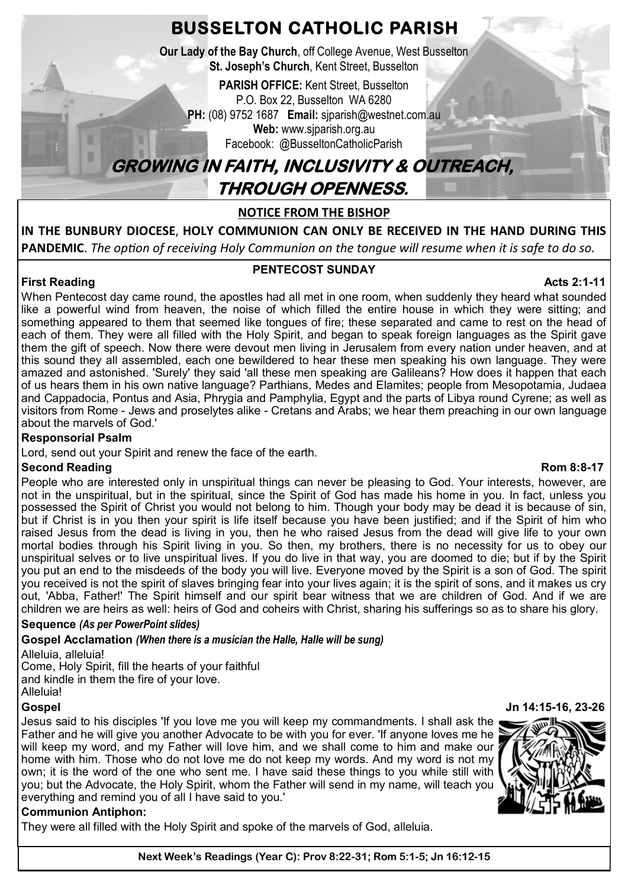**BUSSELTON CATHOLIC PARISH**

**Our Lady of the Bay Church**, off College Avenue, West Busselton **St. Joseph's Church**, Kent Street, Busselton

**PARISH OFFICE:** Kent Street, Busselton P.O. Box 22, Busselton WA 6280 **PH:** (08) 9752 1687 **Email:** sjparish@westnet.com.au **Web:** www.sjparish.org.au

Facebook: @BusseltonCatholicParish

# **GROWING IN FAITH, INCLUSIVITY & OUTREACH, THROUGH OPENNESS.**

# **NOTICE FROM THE BISHOP**

**IN THE BUNBURY DIOCESE**, **HOLY COMMUNION CAN ONLY BE RECEIVED IN THE HAND DURING THIS PANDEMIC**. *The option of receiving Holy Communion on the tongue will resume when it is safe to do so.* 

# **PENTECOST SUNDAY**

**First Reading Acts 2:1-11** Acts 2:1-11 When Pentecost day came round, the apostles had all met in one room, when suddenly they heard what sounded like a powerful wind from heaven, the noise of which filled the entire house in which they were sitting; and something appeared to them that seemed like tongues of fire; these separated and came to rest on the head of each of them. They were all filled with the Holy Spirit, and began to speak foreign languages as the Spirit gave them the gift of speech. Now there were devout men living in Jerusalem from every nation under heaven, and at this sound they all assembled, each one bewildered to hear these men speaking his own language. They were amazed and astonished. 'Surely' they said 'all these men speaking are Galileans? How does it happen that each of us hears them in his own native language? Parthians, Medes and Elamites; people from Mesopotamia, Judaea and Cappadocia, Pontus and Asia, Phrygia and Pamphylia, Egypt and the parts of Libya round Cyrene; as well as visitors from Rome - Jews and proselytes alike - Cretans and Arabs; we hear them preaching in our own language about the marvels of God.'

# **Responsorial Psalm**

в

Lord, send out your Spirit and renew the face of the earth.

# **Second Reading Rom 8:8-17**

#### People who are interested only in unspiritual things can never be pleasing to God. Your interests, however, are not in the unspiritual, but in the spiritual, since the Spirit of God has made his home in you. In fact, unless you possessed the Spirit of Christ you would not belong to him. Though your body may be dead it is because of sin, but if Christ is in you then your spirit is life itself because you have been justified; and if the Spirit of him who raised Jesus from the dead is living in you, then he who raised Jesus from the dead will give life to your own mortal bodies through his Spirit living in you. So then, my brothers, there is no necessity for us to obey our unspiritual selves or to live unspiritual lives. If you do live in that way, you are doomed to die; but if by the Spirit you put an end to the misdeeds of the body you will live. Everyone moved by the Spirit is a son of God. The spirit you received is not the spirit of slaves bringing fear into your lives again; it is the spirit of sons, and it makes us cry out, 'Abba, Father!' The Spirit himself and our spirit bear witness that we are children of God. And if we are children we are heirs as well: heirs of God and coheirs with Christ, sharing his sufferings so as to share his glory.

# **Sequence** *(As per PowerPoint slides)*

# **Gospel Acclamation** *(When there is a musician the Halle, Halle will be sung)*

Alleluia, alleluia! Come, Holy Spirit, fill the hearts of your faithful and kindle in them the fire of your love. Alleluia!

Jesus said to his disciples 'If you love me you will keep my commandments. I shall ask the Father and he will give you another Advocate to be with you for ever. 'If anyone loves me he will keep my word, and my Father will love him, and we shall come to him and make our home with him. Those who do not love me do not keep my words. And my word is not my own; it is the word of the one who sent me. I have said these things to you while still with you; but the Advocate, the Holy Spirit, whom the Father will send in my name, will teach you everything and remind you of all I have said to you.'

# **Communion Antiphon:**

They were all filled with the Holy Spirit and spoke of the marvels of God, alleluia.

#### **Gospel Jn 14:15-16, 23-26**





**Next Week's Readings (Year C): Prov 8:22-31; Rom 5:1-5; Jn 16:12-15**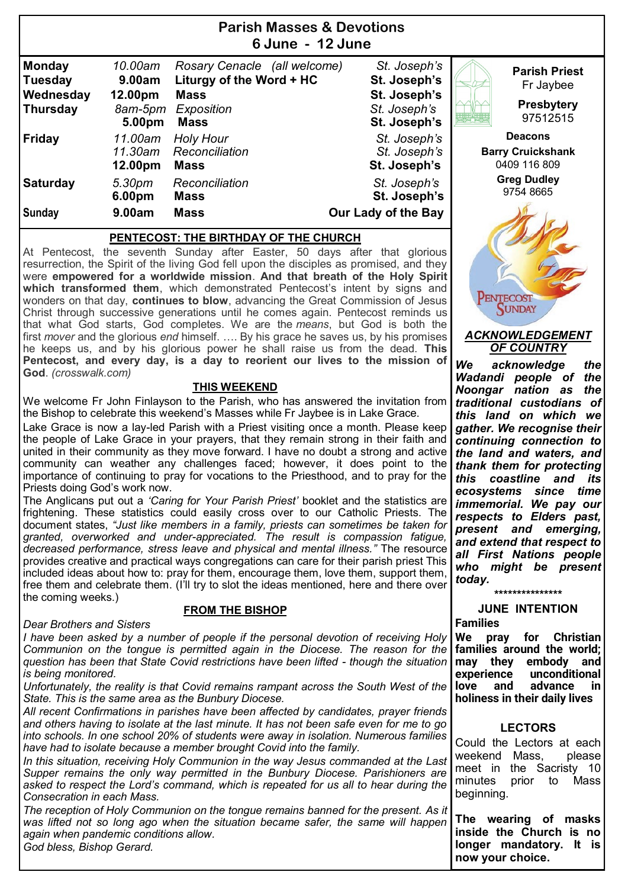| Paristi Masses & Devolions<br>6 June - 12 June                  |                                                   |                                                                                                      |                                                                              |                                                                    |  |  |  |  |
|-----------------------------------------------------------------|---------------------------------------------------|------------------------------------------------------------------------------------------------------|------------------------------------------------------------------------------|--------------------------------------------------------------------|--|--|--|--|
| <b>Monday</b><br><b>Tuesday</b><br>Wednesday<br><b>Thursday</b> | 10.00am<br>9.00am<br>12.00pm<br>8am-5pm<br>5.00pm | Rosary Cenacle (all welcome)<br>Liturgy of the Word + HC<br><b>Mass</b><br>Exposition<br><b>Mass</b> | St. Joseph's<br>St. Joseph's<br>St. Joseph's<br>St. Joseph's<br>St. Joseph's | <b>Parish Priest</b><br>Fr Jaybee<br><b>Presbytery</b><br>97512515 |  |  |  |  |
| <b>Friday</b>                                                   | 11.00am<br>11.30am<br>12.00pm                     | <b>Holy Hour</b><br>Reconciliation<br><b>Mass</b>                                                    | St. Joseph's<br>St. Joseph's<br>St. Joseph's                                 | <b>Deacons</b><br><b>Barry Cruickshank</b><br>0409 116 809         |  |  |  |  |
| <b>Saturday</b><br><b>Sunday</b>                                | 5.30pm<br>6.00pm<br>9.00am                        | Reconciliation<br><b>Mass</b><br><b>Mass</b>                                                         | St. Joseph's<br>St. Joseph's<br>Our Lady of the Bay                          | <b>Greg Dudley</b><br>9754 8665                                    |  |  |  |  |

**Parish Masses & Devotions**

#### **PENTECOST: THE BIRTHDAY OF THE CHURCH**

At Pentecost, the seventh Sunday after Easter, 50 days after that glorious resurrection, the Spirit of the living God fell upon the disciples as promised, and they were **empowered for a worldwide mission**. **And that breath of the Holy Spirit which transformed them**, which demonstrated Pentecost's intent by signs and wonders on that day, **continues to blow**, advancing the Great Commission of Jesus Christ through successive generations until he comes again. Pentecost reminds us that what God starts, God completes. We are the *means*, but God is both the first *mover* and the glorious *end* himself. …. By his grace he saves us, by his promises he keeps us, and by his glorious power he shall raise us from the dead. **This Pentecost, and every day, is a day to reorient our lives to the mission of God**. *(crosswalk.com)*

#### **THIS WEEKEND**

We welcome Fr John Finlayson to the Parish, who has answered the invitation from the Bishop to celebrate this weekend's Masses while Fr Jaybee is in Lake Grace.

Lake Grace is now a lay-led Parish with a Priest visiting once a month. Please keep the people of Lake Grace in your prayers, that they remain strong in their faith and united in their community as they move forward. I have no doubt a strong and active community can weather any challenges faced; however, it does point to the importance of continuing to pray for vocations to the Priesthood, and to pray for the Priests doing God's work now.

The Anglicans put out a *'Caring for Your Parish Priest'* booklet and the statistics are frightening. These statistics could easily cross over to our Catholic Priests. The document states, *"Just like members in a family, priests can sometimes be taken for granted, overworked and under-appreciated. The result is compassion fatigue, decreased performance, stress leave and physical and mental illness."* The resource provides creative and practical ways congregations can care for their parish priest This included ideas about how to: pray for them, encourage them, love them, support them, free them and celebrate them. (I'll try to slot the ideas mentioned, here and there over the coming weeks.)

#### **FROM THE BISHOP**

#### *Dear Brothers and Sisters*

*I have been asked by a number of people if the personal devotion of receiving Holy Communion on the tongue is permitted again in the Diocese. The reason for the question has been that State Covid restrictions have been lifted - though the situation is being monitored.*

*Unfortunately, the reality is that Covid remains rampant across the South West of the State. This is the same area as the Bunbury Diocese.* 

*All recent Confirmations in parishes have been affected by candidates, prayer friends and others having to isolate at the last minute. It has not been safe even for me to go into schools. In one school 20% of students were away in isolation. Numerous families have had to isolate because a member brought Covid into the family.*

*In this situation, receiving Holy Communion in the way Jesus commanded at the Last Supper remains the only way permitted in the Bunbury Diocese. Parishioners are asked to respect the Lord's command, which is repeated for us all to hear during the Consecration in each Mass.*

*The reception of Holy Communion on the tongue remains banned for the present. As it was lifted not so long ago when the situation became safer, the same will happen again when pandemic conditions allow.* 

*God bless, Bishop Gerard.*



#### *ACKNOWLEDGEMENT OF COUNTRY*

*We acknowledge the Wadandi people of the Noongar nation as the traditional custodians of this land on which we gather. We recognise their continuing connection to the land and waters, and thank them for protecting this coastline and its ecosystems since time immemorial. We pay our respects to Elders past, present and emerging, and extend that respect to all First Nations people who might be present today.* 

**\*\*\*\*\*\*\*\*\*\*\*\*\*\*\***

#### **JUNE INTENTION Families**

**We pray for Christian families around the world; may they embody and experience unconditional love and advance in holiness in their daily lives**

#### **LECTORS**

Could the Lectors at each weekend Mass, please meet in the Sacristy 10 minutes prior to Mass beginning.

**The wearing of masks inside the Church is no longer mandatory. It is now your choice.**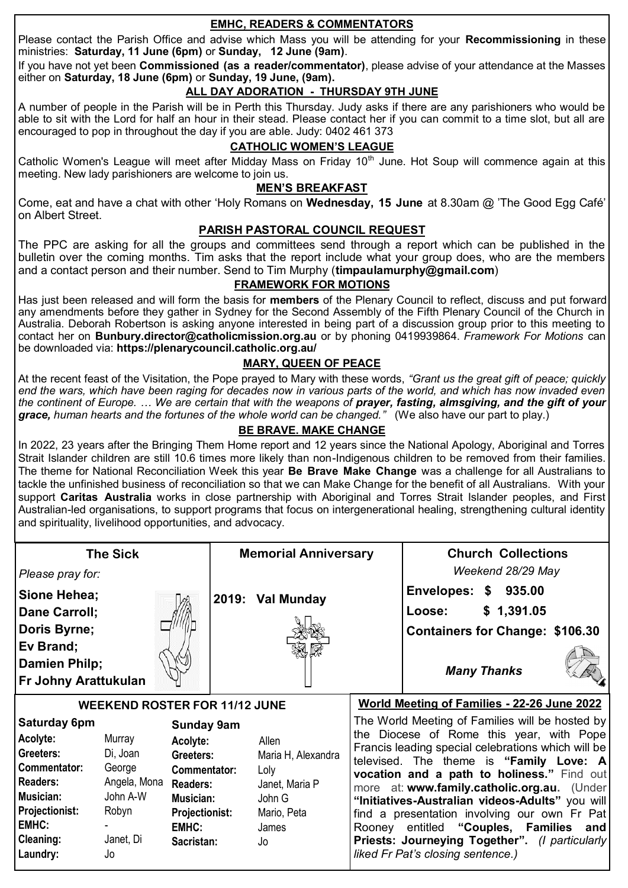# **EMHC, READERS & COMMENTATORS**

Please contact the Parish Office and advise which Mass you will be attending for your **Recommissioning** in these ministries: **Saturday, 11 June (6pm)** or **Sunday, 12 June (9am)**.

If you have not yet been **Commissioned (as a reader/commentator)**, please advise of your attendance at the Masses either on **Saturday, 18 June (6pm)** or **Sunday, 19 June, (9am).** 

# **ALL DAY ADORATION - THURSDAY 9TH JUNE**

A number of people in the Parish will be in Perth this Thursday. Judy asks if there are any parishioners who would be able to sit with the Lord for half an hour in their stead. Please contact her if you can commit to a time slot, but all are encouraged to pop in throughout the day if you are able. Judy: 0402 461 373

# **CATHOLIC WOMEN'S LEAGUE**

Catholic Women's League will meet after Midday Mass on Friday 10<sup>th</sup> June. Hot Soup will commence again at this meeting. New lady parishioners are welcome to join us.

### **MEN'S BREAKFAST**

Come, eat and have a chat with other 'Holy Romans on **Wednesday, 15 June** at 8.30am @ 'The Good Egg Café' on Albert Street.

### **PARISH PASTORAL COUNCIL REQUEST**

The PPC are asking for all the groups and committees send through a report which can be published in the bulletin over the coming months. Tim asks that the report include what your group does, who are the members and a contact person and their number. Send to Tim Murphy (**[timpaulamurphy@gmail.com](mailto:timpaulamurphy@gmail.com)**)

### **FRAMEWORK FOR MOTIONS**

Has just been released and will form the basis for **members** of the Plenary Council to reflect, discuss and put forward any amendments before they gather in Sydney for the Second Assembly of the Fifth Plenary Council of the Church in Australia. Deborah Robertson is asking anyone interested in being part of a discussion group prior to this meeting to contact her on **[Bunbury.director@catholicmission.org.au](mailto:Bunbury.director@catholicmission.org.au)** or by phoning 0419939864. *Framework For Motions* can be downloaded via: **https://plenarycouncil.catholic.org.au/** 

### **MARY, QUEEN OF PEACE**

At the recent feast of the Visitation, the Pope prayed to Mary with these words, *"Grant us the great gift of peace; quickly end the wars, which have been raging for decades now in various parts of the world, and which has now invaded even the continent of Europe. … We are certain that with the weapons of prayer, fasting, almsgiving, and the gift of your grace, human hearts and the fortunes of the whole world can be changed."* (We also have our part to play.)

### **BE BRAVE. MAKE CHANGE**

In 2022, 23 years after the Bringing Them Home report and 12 years since the National Apology, Aboriginal and Torres Strait Islander children are still 10.6 times more likely than non-Indigenous children to be removed from their families. The theme for National Reconciliation Week this year **Be Brave Make Change** was a challenge for all Australians to tackle the unfinished business of reconciliation so that we can Make Change for the benefit of all Australians.   With your support **Caritas Australia** works in close partnership with Aboriginal and Torres Strait Islander peoples, and First Australian-led organisations, to support programs that focus on intergenerational healing, strengthening cultural identity and spirituality, livelihood opportunities, and advocacy.  

| <b>The Sick</b>                      |                          |                              | <b>Memorial Anniversary</b> |                          |                                                    | <b>Church Collections</b>                                                                       |  |
|--------------------------------------|--------------------------|------------------------------|-----------------------------|--------------------------|----------------------------------------------------|-------------------------------------------------------------------------------------------------|--|
| Please pray for:                     |                          |                              |                             |                          |                                                    | Weekend 28/29 May                                                                               |  |
| Sione Hehea;                         |                          |                              |                             | 2019: Val Munday         |                                                    | Envelopes: \$ 935.00                                                                            |  |
| Dane Carroll;                        |                          |                              |                             |                          |                                                    | \$1,391.05<br>Loose:                                                                            |  |
| Doris Byrne;                         |                          |                              |                             |                          |                                                    | <b>Containers for Change: \$106.30</b>                                                          |  |
| Ev Brand;                            |                          |                              |                             |                          |                                                    |                                                                                                 |  |
| Damien Philp;                        |                          |                              |                             |                          |                                                    | <b>Many Thanks</b>                                                                              |  |
| <b>Fr Johny Arattukulan</b>          |                          |                              |                             |                          |                                                    |                                                                                                 |  |
| <b>WEEKEND ROSTER FOR 11/12 JUNE</b> |                          |                              |                             |                          | <b>World Meeting of Families - 22-26 June 2022</b> |                                                                                                 |  |
| Saturday 6pm<br><b>Sunday 9am</b>    |                          |                              |                             |                          |                                                    | The World Meeting of Families will be hosted by                                                 |  |
| Acolyte:                             | Murray                   | Acolyte:                     |                             | Allen                    |                                                    | the Diocese of Rome this year, with Pope<br>Francis leading special celebrations which will be  |  |
| Greeters:                            | Di, Joan                 | Greeters:                    |                             | Maria H, Alexandra       |                                                    | televised. The theme is "Family Love: A                                                         |  |
| Commentator:                         | George                   | Commentator:                 |                             | Loly                     |                                                    | vocation and a path to holiness." Find out                                                      |  |
| <b>Readers:</b><br>Musician:         | Angela, Mona<br>John A-W | <b>Readers:</b><br>Musician: |                             | Janet, Maria P<br>John G |                                                    | more at: www.family.catholic.org.au. (Under                                                     |  |
| <b>Projectionist:</b>                | Robyn                    | <b>Projectionist:</b>        |                             | Mario, Peta              |                                                    | "Initiatives-Australian videos-Adults" you will<br>find a presentation involving our own Fr Pat |  |
| <b>EMHC:</b>                         |                          | <b>EMHC:</b>                 |                             | James                    |                                                    | Rooney entitled "Couples, Families<br>and                                                       |  |
| <b>Cleaning:</b>                     | Janet, Di                | Sacristan:                   |                             | Jo                       |                                                    | Priests: Journeying Together". (I particularly                                                  |  |
| Laundry:                             | Jo                       |                              |                             |                          |                                                    | liked Fr Pat's closing sentence.)                                                               |  |